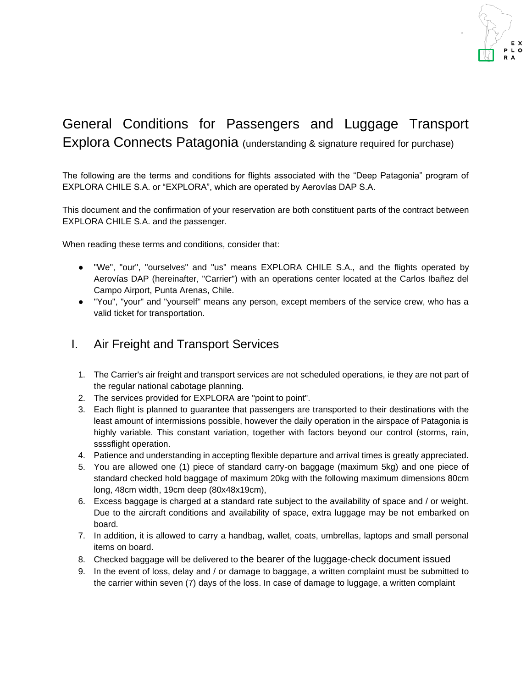

# General Conditions for Passengers and Luggage Transport Explora Connects Patagonia (understanding & signature required for purchase)

The following are the terms and conditions for flights associated with the "Deep Patagonia" program of EXPLORA CHILE S.A. or "EXPLORA", which are operated by Aerovías DAP S.A.

This document and the confirmation of your reservation are both constituent parts of the contract between EXPLORA CHILE S.A. and the passenger.

When reading these terms and conditions, consider that:

- "We", "our", "ourselves" and "us" means EXPLORA CHILE S.A., and the flights operated by Aerovías DAP (hereinafter, "Carrier") with an operations center located at the Carlos Ibañez del Campo Airport, Punta Arenas, Chile.
- "You", "your" and "yourself" means any person, except members of the service crew, who has a valid ticket for transportation.

#### I. Air Freight and Transport Services

- 1. The Carrier's air freight and transport services are not scheduled operations, ie they are not part of the regular national cabotage planning.
- 2. The services provided for EXPLORA are "point to point".
- 3. Each flight is planned to guarantee that passengers are transported to their destinations with the least amount of intermissions possible, however the daily operation in the airspace of Patagonia is highly variable. This constant variation, together with factors beyond our control (storms, rain, ssssflight operation.
- 4. Patience and understanding in accepting flexible departure and arrival times is greatly appreciated.
- 5. You are allowed one (1) piece of standard carry-on baggage (maximum 5kg) and one piece of standard checked hold baggage of maximum 20kg with the following maximum dimensions 80cm long, 48cm width, 19cm deep (80x48x19cm),
- 6. Excess baggage is charged at a standard rate subject to the availability of space and / or weight. Due to the aircraft conditions and availability of space, extra luggage may be not embarked on board.
- 7. In addition, it is allowed to carry a handbag, wallet, coats, umbrellas, laptops and small personal items on board.
- 8. Checked baggage will be delivered to the bearer of the luggage-check document issued
- 9. In the event of loss, delay and / or damage to baggage, a written complaint must be submitted to the carrier within seven (7) days of the loss. In case of damage to luggage, a written complaint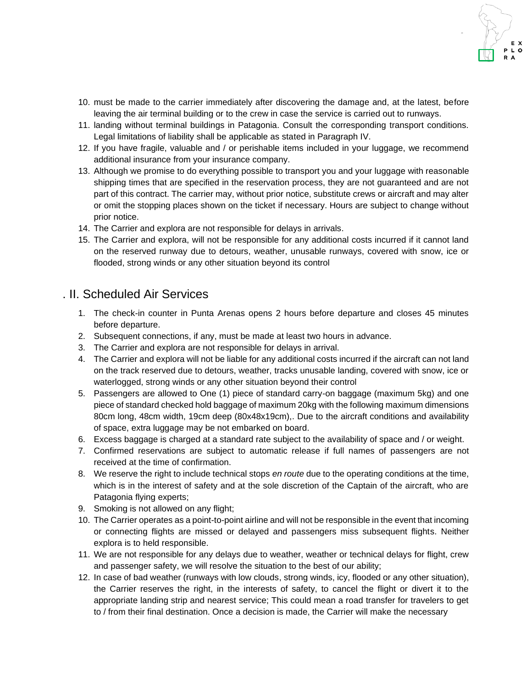- 
- 10. must be made to the carrier immediately after discovering the damage and, at the latest, before leaving the air terminal building or to the crew in case the service is carried out to runways.
- 11. landing without terminal buildings in Patagonia. Consult the corresponding transport conditions. Legal limitations of liability shall be applicable as stated in Paragraph IV.
- 12. If you have fragile, valuable and / or perishable items included in your luggage, we recommend additional insurance from your insurance company.
- 13. Although we promise to do everything possible to transport you and your luggage with reasonable shipping times that are specified in the reservation process, they are not guaranteed and are not part of this contract. The carrier may, without prior notice, substitute crews or aircraft and may alter or omit the stopping places shown on the ticket if necessary. Hours are subject to change without prior notice.
- 14. The Carrier and explora are not responsible for delays in arrivals.
- 15. The Carrier and explora, will not be responsible for any additional costs incurred if it cannot land on the reserved runway due to detours, weather, unusable runways, covered with snow, ice or flooded, strong winds or any other situation beyond its control

### . II. Scheduled Air Services

- 1. The check-in counter in Punta Arenas opens 2 hours before departure and closes 45 minutes before departure.
- 2. Subsequent connections, if any, must be made at least two hours in advance.
- 3. The Carrier and explora are not responsible for delays in arrival.
- 4. The Carrier and explora will not be liable for any additional costs incurred if the aircraft can not land on the track reserved due to detours, weather, tracks unusable landing, covered with snow, ice or waterlogged, strong winds or any other situation beyond their control
- 5. Passengers are allowed to One (1) piece of standard carry-on baggage (maximum 5kg) and one piece of standard checked hold baggage of maximum 20kg with the following maximum dimensions 80cm long, 48cm width, 19cm deep (80x48x19cm),. Due to the aircraft conditions and availability of space, extra luggage may be not embarked on board.
- 6. Excess baggage is charged at a standard rate subject to the availability of space and / or weight.
- 7. Confirmed reservations are subject to automatic release if full names of passengers are not received at the time of confirmation.
- 8. We reserve the right to include technical stops *en route* due to the operating conditions at the time, which is in the interest of safety and at the sole discretion of the Captain of the aircraft, who are Patagonia flying experts;
- 9. Smoking is not allowed on any flight;
- 10. The Carrier operates as a point-to-point airline and will not be responsible in the event that incoming or connecting flights are missed or delayed and passengers miss subsequent flights. Neither explora is to held responsible.
- 11. We are not responsible for any delays due to weather, weather or technical delays for flight, crew and passenger safety, we will resolve the situation to the best of our ability;
- 12. In case of bad weather (runways with low clouds, strong winds, icy, flooded or any other situation), the Carrier reserves the right, in the interests of safety, to cancel the flight or divert it to the appropriate landing strip and nearest service; This could mean a road transfer for travelers to get to / from their final destination. Once a decision is made, the Carrier will make the necessary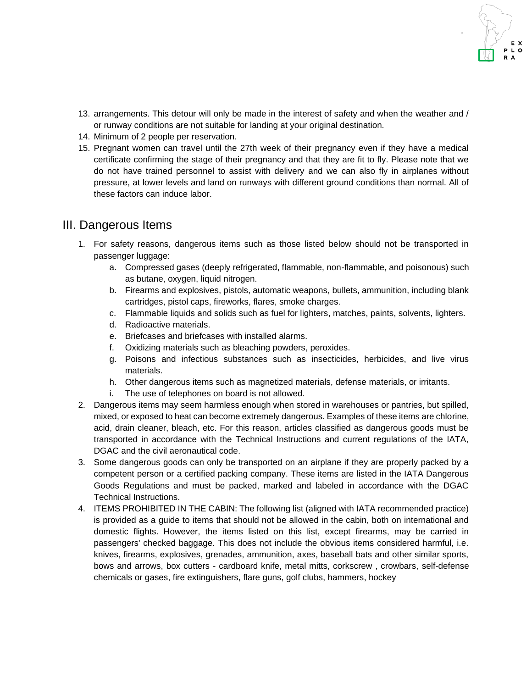- 13. arrangements. This detour will only be made in the interest of safety and when the weather and / or runway conditions are not suitable for landing at your original destination.
- 14. Minimum of 2 people per reservation.
- 15. Pregnant women can travel until the 27th week of their pregnancy even if they have a medical certificate confirming the stage of their pregnancy and that they are fit to fly. Please note that we do not have trained personnel to assist with delivery and we can also fly in airplanes without pressure, at lower levels and land on runways with different ground conditions than normal. All of these factors can induce labor.

### III. Dangerous Items

- 1. For safety reasons, dangerous items such as those listed below should not be transported in passenger luggage:
	- a. Compressed gases (deeply refrigerated, flammable, non-flammable, and poisonous) such as butane, oxygen, liquid nitrogen.
	- b. Firearms and explosives, pistols, automatic weapons, bullets, ammunition, including blank cartridges, pistol caps, fireworks, flares, smoke charges.
	- c. Flammable liquids and solids such as fuel for lighters, matches, paints, solvents, lighters.
	- d. Radioactive materials.
	- e. Briefcases and briefcases with installed alarms.
	- f. Oxidizing materials such as bleaching powders, peroxides.
	- g. Poisons and infectious substances such as insecticides, herbicides, and live virus materials.
	- h. Other dangerous items such as magnetized materials, defense materials, or irritants.
	- i. The use of telephones on board is not allowed.
- 2. Dangerous items may seem harmless enough when stored in warehouses or pantries, but spilled, mixed, or exposed to heat can become extremely dangerous. Examples of these items are chlorine, acid, drain cleaner, bleach, etc. For this reason, articles classified as dangerous goods must be transported in accordance with the Technical Instructions and current regulations of the IATA, DGAC and the civil aeronautical code.
- 3. Some dangerous goods can only be transported on an airplane if they are properly packed by a competent person or a certified packing company. These items are listed in the IATA Dangerous Goods Regulations and must be packed, marked and labeled in accordance with the DGAC Technical Instructions.
- 4. ITEMS PROHIBITED IN THE CABIN: The following list (aligned with IATA recommended practice) is provided as a guide to items that should not be allowed in the cabin, both on international and domestic flights. However, the items listed on this list, except firearms, may be carried in passengers' checked baggage. This does not include the obvious items considered harmful, i.e. knives, firearms, explosives, grenades, ammunition, axes, baseball bats and other similar sports, bows and arrows, box cutters - cardboard knife, metal mitts, corkscrew , crowbars, self-defense chemicals or gases, fire extinguishers, flare guns, golf clubs, hammers, hockey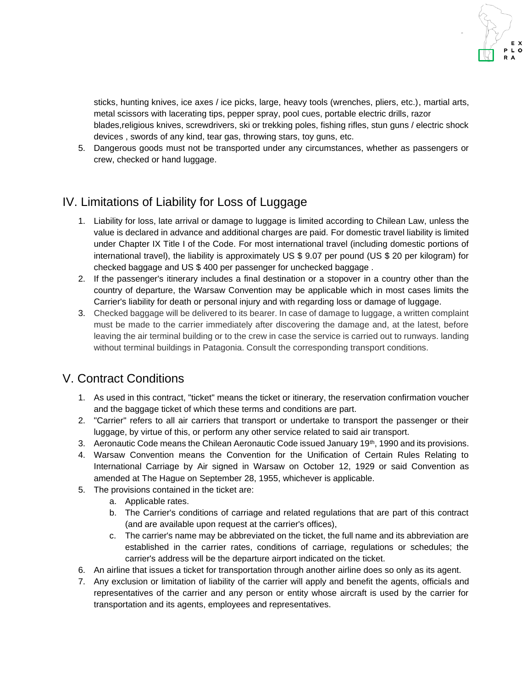sticks, hunting knives, ice axes / ice picks, large, heavy tools (wrenches, pliers, etc.), martial arts, metal scissors with lacerating tips, pepper spray, pool cues, portable electric drills, razor blades,religious knives, screwdrivers, ski or trekking poles, fishing rifles, stun guns / electric shock devices , swords of any kind, tear gas, throwing stars, toy guns, etc.

5. Dangerous goods must not be transported under any circumstances, whether as passengers or crew, checked or hand luggage.

## IV. Limitations of Liability for Loss of Luggage

- 1. Liability for loss, late arrival or damage to luggage is limited according to Chilean Law, unless the value is declared in advance and additional charges are paid. For domestic travel liability is limited under Chapter IX Title I of the Code. For most international travel (including domestic portions of international travel), the liability is approximately US \$ 9.07 per pound (US \$ 20 per kilogram) for checked baggage and US \$ 400 per passenger for unchecked baggage .
- 2. If the passenger's itinerary includes a final destination or a stopover in a country other than the country of departure, the Warsaw Convention may be applicable which in most cases limits the Carrier's liability for death or personal injury and with regarding loss or damage of luggage.
- 3. Checked baggage will be delivered to its bearer. In case of damage to luggage, a written complaint must be made to the carrier immediately after discovering the damage and, at the latest, before leaving the air terminal building or to the crew in case the service is carried out to runways. landing without terminal buildings in Patagonia. Consult the corresponding transport conditions.

## V. Contract Conditions

- 1. As used in this contract, "ticket" means the ticket or itinerary, the reservation confirmation voucher and the baggage ticket of which these terms and conditions are part.
- 2. "Carrier" refers to all air carriers that transport or undertake to transport the passenger or their luggage, by virtue of this, or perform any other service related to said air transport.
- 3. Aeronautic Code means the Chilean Aeronautic Code issued January 19<sup>th</sup>, 1990 and its provisions.
- 4. Warsaw Convention means the Convention for the Unification of Certain Rules Relating to International Carriage by Air signed in Warsaw on October 12, 1929 or said Convention as amended at The Hague on September 28, 1955, whichever is applicable.
- 5. The provisions contained in the ticket are:
	- a. Applicable rates.
	- b. The Carrier's conditions of carriage and related regulations that are part of this contract (and are available upon request at the carrier's offices),
	- c. The carrier's name may be abbreviated on the ticket, the full name and its abbreviation are established in the carrier rates, conditions of carriage, regulations or schedules; the carrier's address will be the departure airport indicated on the ticket.
- 6. An airline that issues a ticket for transportation through another airline does so only as its agent.
- 7. Any exclusion or limitation of liability of the carrier will apply and benefit the agents, officials and representatives of the carrier and any person or entity whose aircraft is used by the carrier for transportation and its agents, employees and representatives.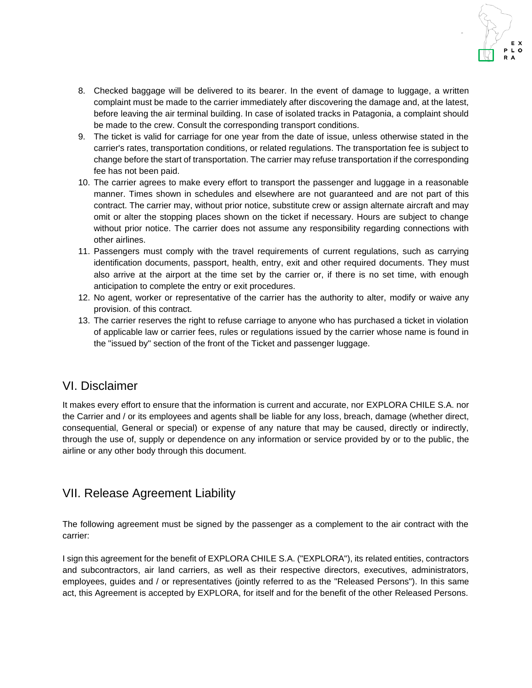

- 8. Checked baggage will be delivered to its bearer. In the event of damage to luggage, a written complaint must be made to the carrier immediately after discovering the damage and, at the latest, before leaving the air terminal building. In case of isolated tracks in Patagonia, a complaint should be made to the crew. Consult the corresponding transport conditions.
- 9. The ticket is valid for carriage for one year from the date of issue, unless otherwise stated in the carrier's rates, transportation conditions, or related regulations. The transportation fee is subject to change before the start of transportation. The carrier may refuse transportation if the corresponding fee has not been paid.
- 10. The carrier agrees to make every effort to transport the passenger and luggage in a reasonable manner. Times shown in schedules and elsewhere are not guaranteed and are not part of this contract. The carrier may, without prior notice, substitute crew or assign alternate aircraft and may omit or alter the stopping places shown on the ticket if necessary. Hours are subject to change without prior notice. The carrier does not assume any responsibility regarding connections with other airlines.
- 11. Passengers must comply with the travel requirements of current regulations, such as carrying identification documents, passport, health, entry, exit and other required documents. They must also arrive at the airport at the time set by the carrier or, if there is no set time, with enough anticipation to complete the entry or exit procedures.
- 12. No agent, worker or representative of the carrier has the authority to alter, modify or waive any provision. of this contract.
- 13. The carrier reserves the right to refuse carriage to anyone who has purchased a ticket in violation of applicable law or carrier fees, rules or regulations issued by the carrier whose name is found in the "issued by" section of the front of the Ticket and passenger luggage.

### VI. Disclaimer

It makes every effort to ensure that the information is current and accurate, nor EXPLORA CHILE S.A. nor the Carrier and / or its employees and agents shall be liable for any loss, breach, damage (whether direct, consequential, General or special) or expense of any nature that may be caused, directly or indirectly, through the use of, supply or dependence on any information or service provided by or to the public, the airline or any other body through this document.

### VII. Release Agreement Liability

The following agreement must be signed by the passenger as a complement to the air contract with the carrier:

I sign this agreement for the benefit of EXPLORA CHILE S.A. ("EXPLORA"), its related entities, contractors and subcontractors, air land carriers, as well as their respective directors, executives, administrators, employees, guides and / or representatives (jointly referred to as the "Released Persons"). In this same act, this Agreement is accepted by EXPLORA, for itself and for the benefit of the other Released Persons.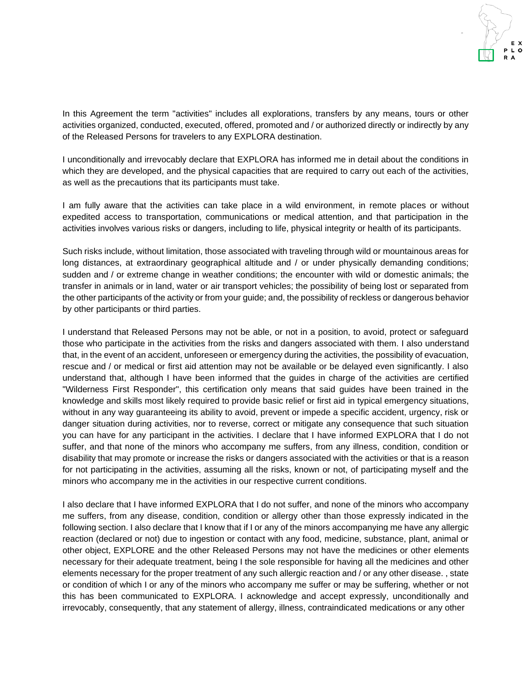In this Agreement the term "activities" includes all explorations, transfers by any means, tours or other activities organized, conducted, executed, offered, promoted and / or authorized directly or indirectly by any of the Released Persons for travelers to any EXPLORA destination.

I unconditionally and irrevocably declare that EXPLORA has informed me in detail about the conditions in which they are developed, and the physical capacities that are required to carry out each of the activities, as well as the precautions that its participants must take.

I am fully aware that the activities can take place in a wild environment, in remote places or without expedited access to transportation, communications or medical attention, and that participation in the activities involves various risks or dangers, including to life, physical integrity or health of its participants.

Such risks include, without limitation, those associated with traveling through wild or mountainous areas for long distances, at extraordinary geographical altitude and / or under physically demanding conditions; sudden and / or extreme change in weather conditions; the encounter with wild or domestic animals; the transfer in animals or in land, water or air transport vehicles; the possibility of being lost or separated from the other participants of the activity or from your guide; and, the possibility of reckless or dangerous behavior by other participants or third parties.

I understand that Released Persons may not be able, or not in a position, to avoid, protect or safeguard those who participate in the activities from the risks and dangers associated with them. I also understand that, in the event of an accident, unforeseen or emergency during the activities, the possibility of evacuation, rescue and / or medical or first aid attention may not be available or be delayed even significantly. I also understand that, although I have been informed that the guides in charge of the activities are certified "Wilderness First Responder", this certification only means that said guides have been trained in the knowledge and skills most likely required to provide basic relief or first aid in typical emergency situations, without in any way guaranteeing its ability to avoid, prevent or impede a specific accident, urgency, risk or danger situation during activities, nor to reverse, correct or mitigate any consequence that such situation you can have for any participant in the activities. I declare that I have informed EXPLORA that I do not suffer, and that none of the minors who accompany me suffers, from any illness, condition, condition or disability that may promote or increase the risks or dangers associated with the activities or that is a reason for not participating in the activities, assuming all the risks, known or not, of participating myself and the minors who accompany me in the activities in our respective current conditions.

I also declare that I have informed EXPLORA that I do not suffer, and none of the minors who accompany me suffers, from any disease, condition, condition or allergy other than those expressly indicated in the following section. I also declare that I know that if I or any of the minors accompanying me have any allergic reaction (declared or not) due to ingestion or contact with any food, medicine, substance, plant, animal or other object, EXPLORE and the other Released Persons may not have the medicines or other elements necessary for their adequate treatment, being I the sole responsible for having all the medicines and other elements necessary for the proper treatment of any such allergic reaction and / or any other disease. , state or condition of which I or any of the minors who accompany me suffer or may be suffering, whether or not this has been communicated to EXPLORA. I acknowledge and accept expressly, unconditionally and irrevocably, consequently, that any statement of allergy, illness, contraindicated medications or any other